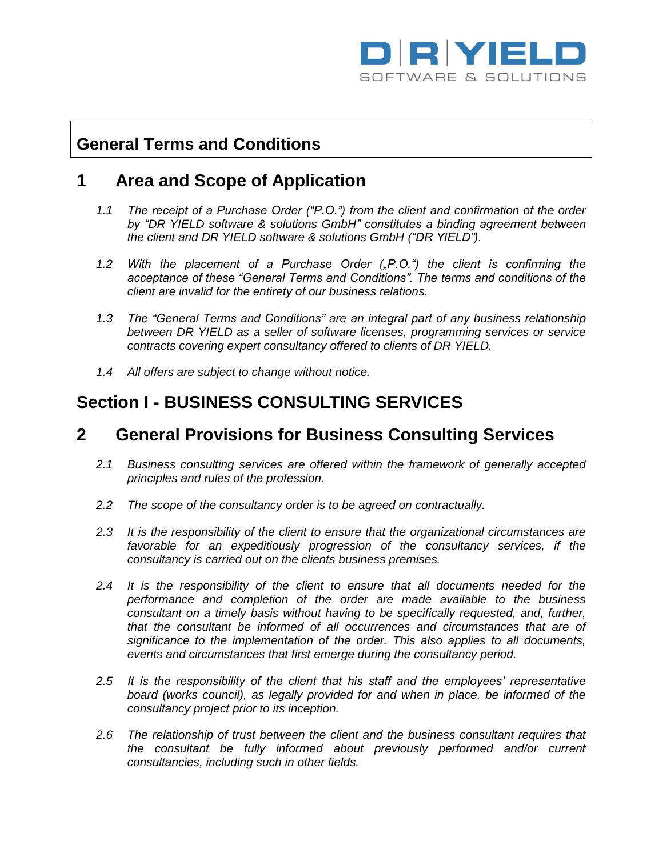

# **General Terms and Conditions**

## **1 Area and Scope of Application**

- *1.1 The receipt of a Purchase Order ("P.O.") from the client and confirmation of the order by "DR YIELD software & solutions GmbH" constitutes a binding agreement between the client and DR YIELD software & solutions GmbH ("DR YIELD").*
- *1.2 With the placement of a Purchase Order ("P.O.") the client is confirming the acceptance of these "General Terms and Conditions". The terms and conditions of the client are invalid for the entirety of our business relations.*
- *1.3 The "General Terms and Conditions" are an integral part of any business relationship between DR YIELD as a seller of software licenses, programming services or service contracts covering expert consultancy offered to clients of DR YIELD.*
- *1.4 All offers are subject to change without notice.*

# **Section I - BUSINESS CONSULTING SERVICES**

### **2 General Provisions for Business Consulting Services**

- *2.1 Business consulting services are offered within the framework of generally accepted principles and rules of the profession.*
- *2.2 The scope of the consultancy order is to be agreed on contractually.*
- *2.3 It is the responsibility of the client to ensure that the organizational circumstances are favorable for an expeditiously progression of the consultancy services, if the consultancy is carried out on the clients business premises.*
- *2.4 It is the responsibility of the client to ensure that all documents needed for the performance and completion of the order are made available to the business consultant on a timely basis without having to be specifically requested, and, further, that the consultant be informed of all occurrences and circumstances that are of significance to the implementation of the order. This also applies to all documents, events and circumstances that first emerge during the consultancy period.*
- *2.5 It is the responsibility of the client that his staff and the employees' representative board (works council), as legally provided for and when in place, be informed of the consultancy project prior to its inception.*
- *2.6 The relationship of trust between the client and the business consultant requires that the consultant be fully informed about previously performed and/or current consultancies, including such in other fields.*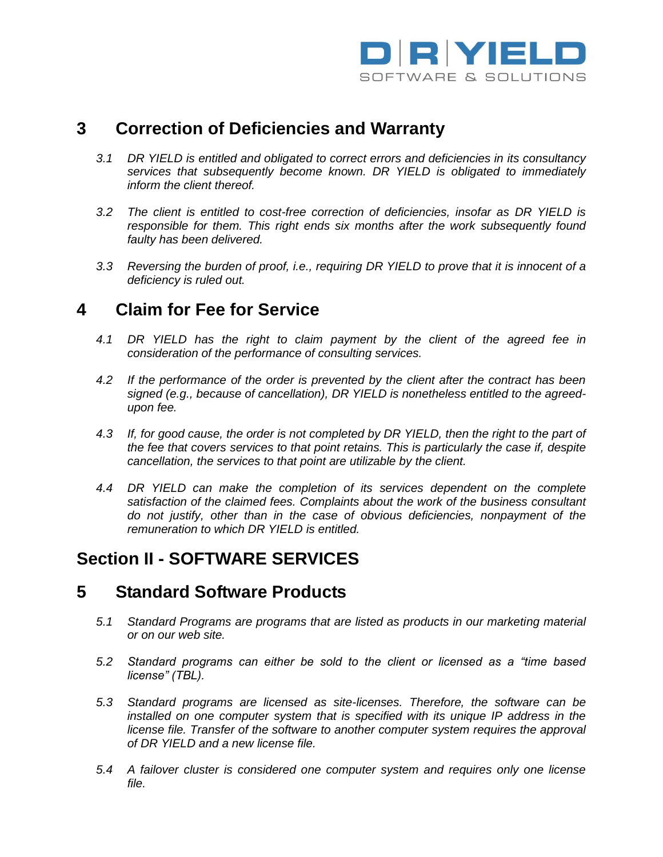

## **3 Correction of Deficiencies and Warranty**

- *3.1 DR YIELD is entitled and obligated to correct errors and deficiencies in its consultancy services that subsequently become known. DR YIELD is obligated to immediately inform the client thereof.*
- *3.2 The client is entitled to cost-free correction of deficiencies, insofar as DR YIELD is responsible for them. This right ends six months after the work subsequently found faulty has been delivered.*
- *3.3 Reversing the burden of proof, i.e., requiring DR YIELD to prove that it is innocent of a deficiency is ruled out.*

### **4 Claim for Fee for Service**

- *4.1 DR YIELD has the right to claim payment by the client of the agreed fee in consideration of the performance of consulting services.*
- *4.2 If the performance of the order is prevented by the client after the contract has been signed (e.g., because of cancellation), DR YIELD is nonetheless entitled to the agreedupon fee.*
- *4.3 If, for good cause, the order is not completed by DR YIELD, then the right to the part of the fee that covers services to that point retains. This is particularly the case if, despite cancellation, the services to that point are utilizable by the client.*
- *4.4 DR YIELD can make the completion of its services dependent on the complete satisfaction of the claimed fees. Complaints about the work of the business consultant do not justify, other than in the case of obvious deficiencies, nonpayment of the remuneration to which DR YIELD is entitled.*

# **Section II - SOFTWARE SERVICES**

# **5 Standard Software Products**

- *5.1 Standard Programs are programs that are listed as products in our marketing material or on our web site.*
- *5.2 Standard programs can either be sold to the client or licensed as a "time based license" (TBL).*
- *5.3 Standard programs are licensed as site-licenses. Therefore, the software can be installed on one computer system that is specified with its unique IP address in the license file. Transfer of the software to another computer system requires the approval of DR YIELD and a new license file.*
- *5.4 A failover cluster is considered one computer system and requires only one license file.*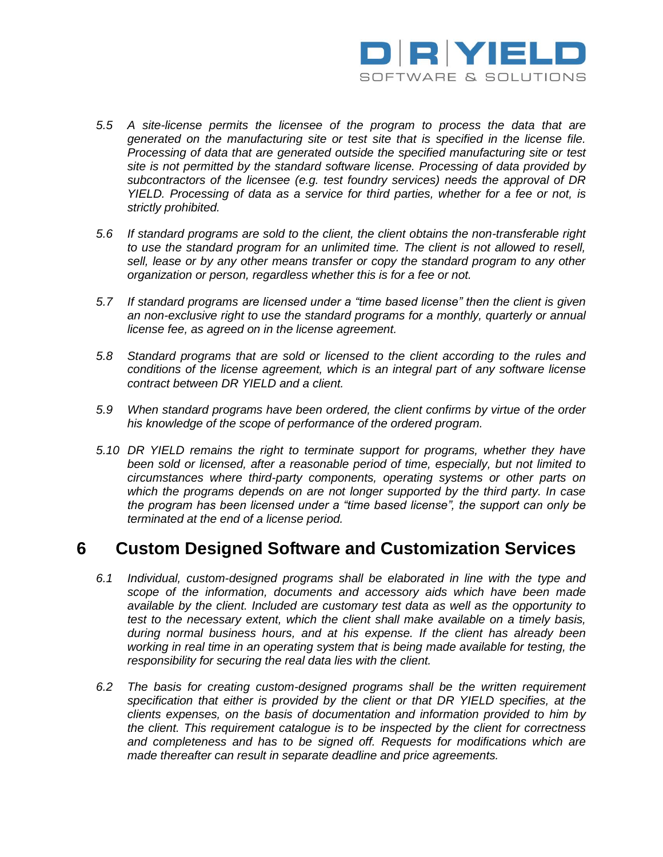

- *5.5 A site-license permits the licensee of the program to process the data that are generated on the manufacturing site or test site that is specified in the license file. Processing of data that are generated outside the specified manufacturing site or test site is not permitted by the standard software license. Processing of data provided by subcontractors of the licensee (e.g. test foundry services) needs the approval of DR YIELD. Processing of data as a service for third parties, whether for a fee or not, is strictly prohibited.*
- *5.6 If standard programs are sold to the client, the client obtains the non-transferable right to use the standard program for an unlimited time. The client is not allowed to resell,*  sell, lease or by any other means transfer or copy the standard program to any other *organization or person, regardless whether this is for a fee or not.*
- *5.7 If standard programs are licensed under a "time based license" then the client is given an non-exclusive right to use the standard programs for a monthly, quarterly or annual license fee, as agreed on in the license agreement.*
- *5.8 Standard programs that are sold or licensed to the client according to the rules and conditions of the license agreement, which is an integral part of any software license contract between DR YIELD and a client.*
- *5.9 When standard programs have been ordered, the client confirms by virtue of the order his knowledge of the scope of performance of the ordered program.*
- *5.10 DR YIELD remains the right to terminate support for programs, whether they have been sold or licensed, after a reasonable period of time, especially, but not limited to circumstances where third-party components, operating systems or other parts on which the programs depends on are not longer supported by the third party. In case the program has been licensed under a "time based license", the support can only be terminated at the end of a license period.*

# **6 Custom Designed Software and Customization Services**

- *6.1 Individual, custom-designed programs shall be elaborated in line with the type and scope of the information, documents and accessory aids which have been made available by the client. Included are customary test data as well as the opportunity to test to the necessary extent, which the client shall make available on a timely basis, during normal business hours, and at his expense. If the client has already been working in real time in an operating system that is being made available for testing, the responsibility for securing the real data lies with the client.*
- *6.2 The basis for creating custom-designed programs shall be the written requirement specification that either is provided by the client or that DR YIELD specifies, at the clients expenses, on the basis of documentation and information provided to him by the client. This requirement catalogue is to be inspected by the client for correctness and completeness and has to be signed off. Requests for modifications which are made thereafter can result in separate deadline and price agreements.*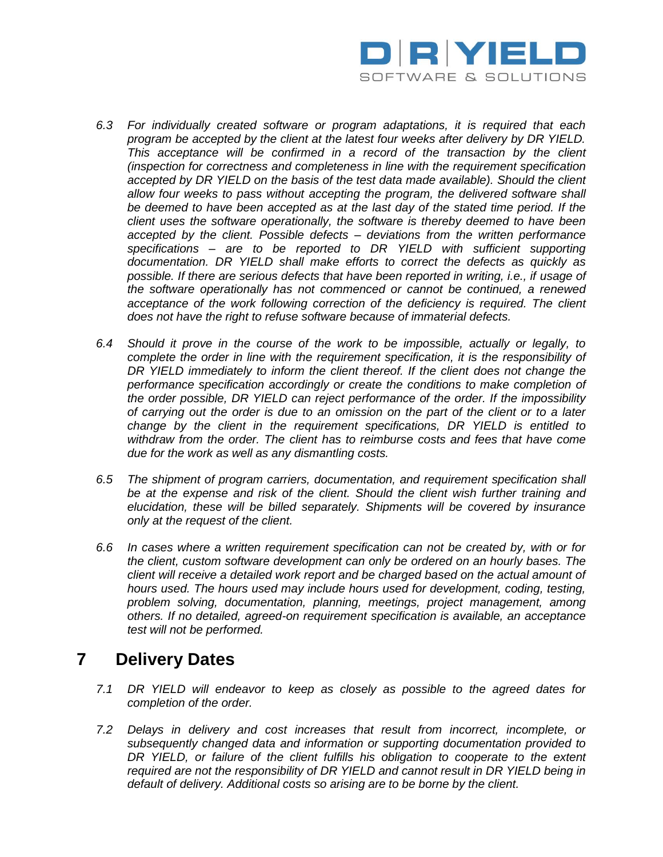

- *6.3 For individually created software or program adaptations, it is required that each program be accepted by the client at the latest four weeks after delivery by DR YIELD. This acceptance will be confirmed in a record of the transaction by the client (inspection for correctness and completeness in line with the requirement specification accepted by DR YIELD on the basis of the test data made available). Should the client allow four weeks to pass without accepting the program, the delivered software shall be deemed to have been accepted as at the last day of the stated time period. If the client uses the software operationally, the software is thereby deemed to have been accepted by the client. Possible defects – deviations from the written performance specifications – are to be reported to DR YIELD with sufficient supporting documentation. DR YIELD shall make efforts to correct the defects as quickly as possible. If there are serious defects that have been reported in writing, i.e., if usage of the software operationally has not commenced or cannot be continued, a renewed acceptance of the work following correction of the deficiency is required. The client does not have the right to refuse software because of immaterial defects.*
- *6.4 Should it prove in the course of the work to be impossible, actually or legally, to complete the order in line with the requirement specification, it is the responsibility of DR YIELD immediately to inform the client thereof. If the client does not change the performance specification accordingly or create the conditions to make completion of the order possible, DR YIELD can reject performance of the order. If the impossibility of carrying out the order is due to an omission on the part of the client or to a later change by the client in the requirement specifications, DR YIELD is entitled to withdraw from the order. The client has to reimburse costs and fees that have come due for the work as well as any dismantling costs.*
- *6.5 The shipment of program carriers, documentation, and requirement specification shall be at the expense and risk of the client. Should the client wish further training and elucidation, these will be billed separately. Shipments will be covered by insurance only at the request of the client.*
- *6.6 In cases where a written requirement specification can not be created by, with or for the client, custom software development can only be ordered on an hourly bases. The client will receive a detailed work report and be charged based on the actual amount of hours used. The hours used may include hours used for development, coding, testing, problem solving, documentation, planning, meetings, project management, among others. If no detailed, agreed-on requirement specification is available, an acceptance test will not be performed.*

# **7 Delivery Dates**

- *7.1 DR YIELD will endeavor to keep as closely as possible to the agreed dates for completion of the order.*
- *7.2 Delays in delivery and cost increases that result from incorrect, incomplete, or subsequently changed data and information or supporting documentation provided to DR YIELD, or failure of the client fulfills his obligation to cooperate to the extent required are not the responsibility of DR YIELD and cannot result in DR YIELD being in default of delivery. Additional costs so arising are to be borne by the client.*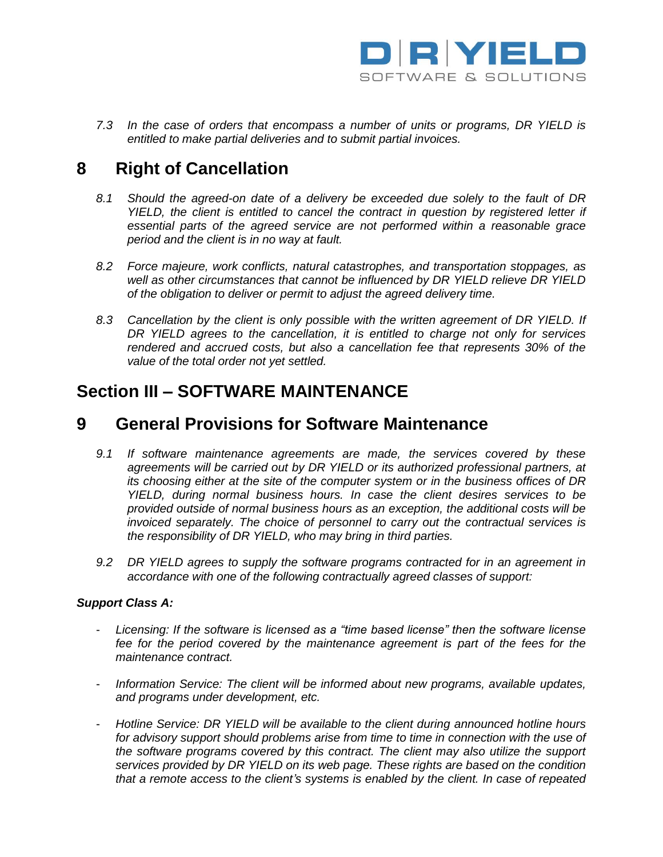

*7.3 In the case of orders that encompass a number of units or programs, DR YIELD is entitled to make partial deliveries and to submit partial invoices.*

# **8 Right of Cancellation**

- *8.1 Should the agreed-on date of a delivery be exceeded due solely to the fault of DR YIELD, the client is entitled to cancel the contract in question by registered letter if essential parts of the agreed service are not performed within a reasonable grace period and the client is in no way at fault.*
- *8.2 Force majeure, work conflicts, natural catastrophes, and transportation stoppages, as well as other circumstances that cannot be influenced by DR YIELD relieve DR YIELD of the obligation to deliver or permit to adjust the agreed delivery time.*
- *8.3 Cancellation by the client is only possible with the written agreement of DR YIELD. If DR YIELD agrees to the cancellation, it is entitled to charge not only for services rendered and accrued costs, but also a cancellation fee that represents 30% of the value of the total order not yet settled.*

# **Section III – SOFTWARE MAINTENANCE**

## **9 General Provisions for Software Maintenance**

- *9.1 If software maintenance agreements are made, the services covered by these agreements will be carried out by DR YIELD or its authorized professional partners, at its choosing either at the site of the computer system or in the business offices of DR YIELD, during normal business hours. In case the client desires services to be provided outside of normal business hours as an exception, the additional costs will be invoiced separately. The choice of personnel to carry out the contractual services is the responsibility of DR YIELD, who may bring in third parties.*
- *9.2 DR YIELD agrees to supply the software programs contracted for in an agreement in accordance with one of the following contractually agreed classes of support:*

#### *Support Class A:*

- Licensing: If the software is licensed as a "time based license" then the software license *fee for the period covered by the maintenance agreement is part of the fees for the maintenance contract.*
- *Information Service: The client will be informed about new programs, available updates, and programs under development, etc.*
- *Hotline Service: DR YIELD will be available to the client during announced hotline hours for advisory support should problems arise from time to time in connection with the use of the software programs covered by this contract. The client may also utilize the support services provided by DR YIELD on its web page. These rights are based on the condition that a remote access to the client's systems is enabled by the client. In case of repeated*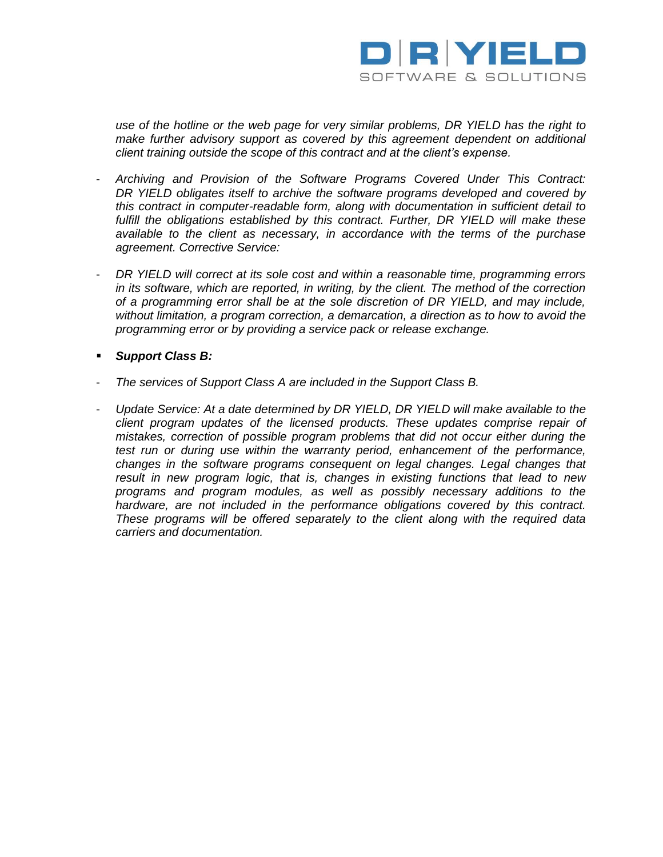

*use of the hotline or the web page for very similar problems, DR YIELD has the right to make further advisory support as covered by this agreement dependent on additional client training outside the scope of this contract and at the client's expense.*

- *Archiving and Provision of the Software Programs Covered Under This Contract: DR YIELD obligates itself to archive the software programs developed and covered by this contract in computer-readable form, along with documentation in sufficient detail to fulfill the obligations established by this contract. Further, DR YIELD will make these available to the client as necessary, in accordance with the terms of the purchase agreement. Corrective Service:*
- *DR YIELD will correct at its sole cost and within a reasonable time, programming errors in its software, which are reported, in writing, by the client. The method of the correction of a programming error shall be at the sole discretion of DR YIELD, and may include, without limitation, a program correction, a demarcation, a direction as to how to avoid the programming error or by providing a service pack or release exchange.*
- *Support Class B:*
- *The services of Support Class A are included in the Support Class B.*
- *Update Service: At a date determined by DR YIELD, DR YIELD will make available to the client program updates of the licensed products. These updates comprise repair of mistakes, correction of possible program problems that did not occur either during the test run or during use within the warranty period, enhancement of the performance, changes in the software programs consequent on legal changes. Legal changes that result in new program logic, that is, changes in existing functions that lead to new programs and program modules, as well as possibly necessary additions to the hardware, are not included in the performance obligations covered by this contract. These programs will be offered separately to the client along with the required data carriers and documentation.*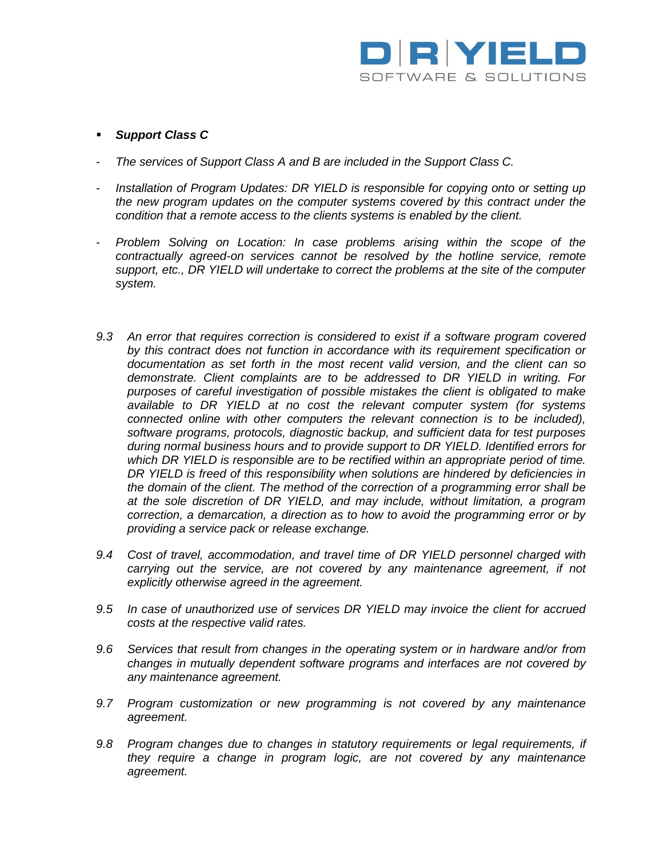

#### *Support Class C*

- *The services of Support Class A and B are included in the Support Class C.*
- *Installation of Program Updates: DR YIELD is responsible for copying onto or setting up the new program updates on the computer systems covered by this contract under the condition that a remote access to the clients systems is enabled by the client.*
- *Problem Solving on Location: In case problems arising within the scope of the contractually agreed-on services cannot be resolved by the hotline service, remote support, etc., DR YIELD will undertake to correct the problems at the site of the computer system.*
- *9.3 An error that requires correction is considered to exist if a software program covered by this contract does not function in accordance with its requirement specification or documentation as set forth in the most recent valid version, and the client can so demonstrate. Client complaints are to be addressed to DR YIELD in writing. For purposes of careful investigation of possible mistakes the client is obligated to make available to DR YIELD at no cost the relevant computer system (for systems connected online with other computers the relevant connection is to be included), software programs, protocols, diagnostic backup, and sufficient data for test purposes during normal business hours and to provide support to DR YIELD. Identified errors for which DR YIELD is responsible are to be rectified within an appropriate period of time. DR YIELD is freed of this responsibility when solutions are hindered by deficiencies in the domain of the client. The method of the correction of a programming error shall be at the sole discretion of DR YIELD, and may include, without limitation, a program correction, a demarcation, a direction as to how to avoid the programming error or by providing a service pack or release exchange.*
- *9.4 Cost of travel, accommodation, and travel time of DR YIELD personnel charged with carrying out the service, are not covered by any maintenance agreement, if not explicitly otherwise agreed in the agreement.*
- *9.5 In case of unauthorized use of services DR YIELD may invoice the client for accrued costs at the respective valid rates.*
- *9.6 Services that result from changes in the operating system or in hardware and/or from changes in mutually dependent software programs and interfaces are not covered by any maintenance agreement.*
- *9.7 Program customization or new programming is not covered by any maintenance agreement.*
- *9.8 Program changes due to changes in statutory requirements or legal requirements, if they require a change in program logic, are not covered by any maintenance agreement.*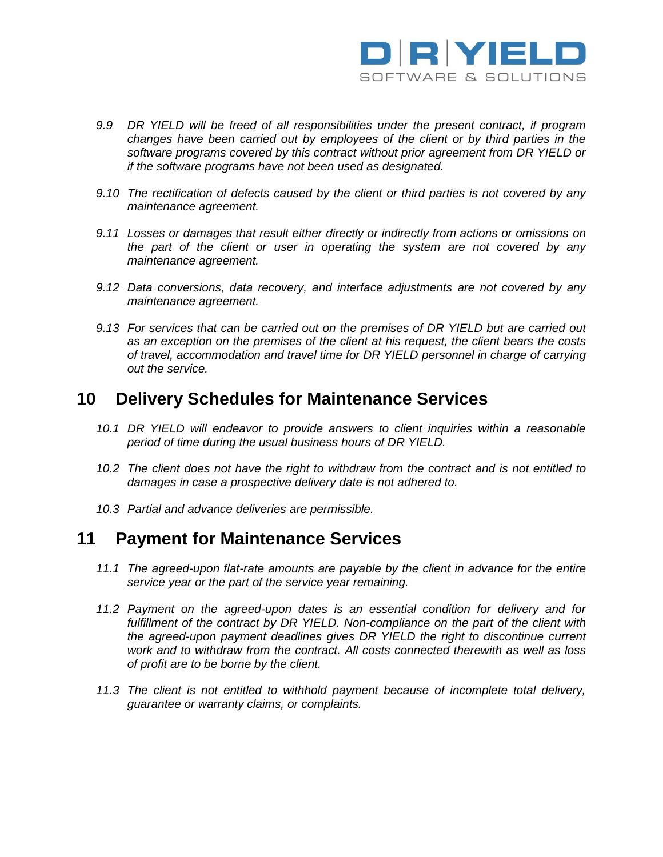

- *9.9 DR YIELD will be freed of all responsibilities under the present contract, if program changes have been carried out by employees of the client or by third parties in the software programs covered by this contract without prior agreement from DR YIELD or if the software programs have not been used as designated.*
- *9.10 The rectification of defects caused by the client or third parties is not covered by any maintenance agreement.*
- *9.11 Losses or damages that result either directly or indirectly from actions or omissions on the part of the client or user in operating the system are not covered by any maintenance agreement.*
- *9.12 Data conversions, data recovery, and interface adjustments are not covered by any maintenance agreement.*
- *9.13 For services that can be carried out on the premises of DR YIELD but are carried out as an exception on the premises of the client at his request, the client bears the costs of travel, accommodation and travel time for DR YIELD personnel in charge of carrying out the service.*

### **10 Delivery Schedules for Maintenance Services**

- *10.1 DR YIELD will endeavor to provide answers to client inquiries within a reasonable period of time during the usual business hours of DR YIELD.*
- *10.2 The client does not have the right to withdraw from the contract and is not entitled to damages in case a prospective delivery date is not adhered to.*
- *10.3 Partial and advance deliveries are permissible.*

### **11 Payment for Maintenance Services**

- *11.1 The agreed-upon flat-rate amounts are payable by the client in advance for the entire service year or the part of the service year remaining.*
- *11.2 Payment on the agreed-upon dates is an essential condition for delivery and for fulfillment of the contract by DR YIELD. Non-compliance on the part of the client with the agreed-upon payment deadlines gives DR YIELD the right to discontinue current work and to withdraw from the contract. All costs connected therewith as well as loss of profit are to be borne by the client.*
- *11.3 The client is not entitled to withhold payment because of incomplete total delivery, guarantee or warranty claims, or complaints.*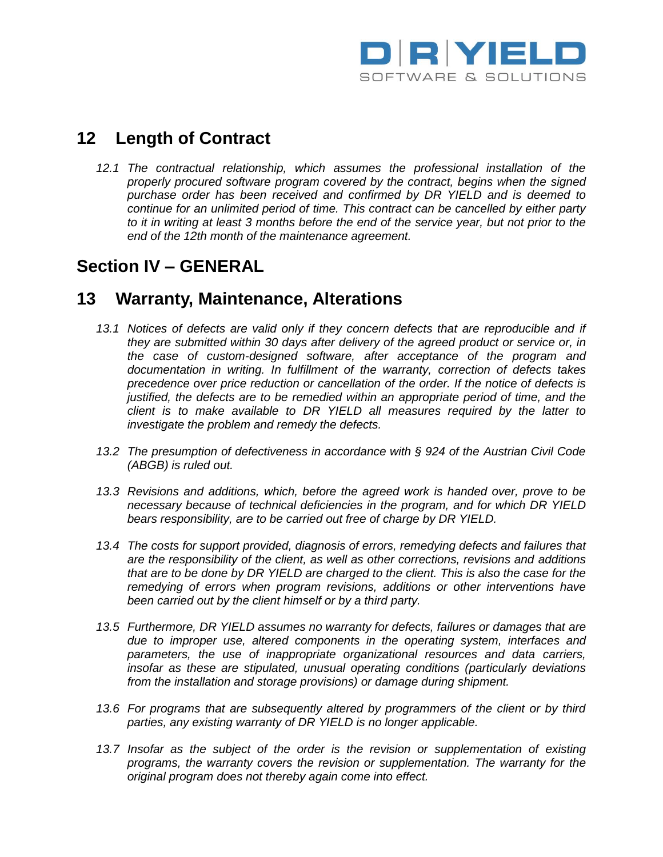

# **12 Length of Contract**

*12.1 The contractual relationship, which assumes the professional installation of the properly procured software program covered by the contract, begins when the signed purchase order has been received and confirmed by DR YIELD and is deemed to continue for an unlimited period of time. This contract can be cancelled by either party to it in writing at least 3 months before the end of the service year, but not prior to the end of the 12th month of the maintenance agreement.*

# **Section IV – GENERAL**

## **13 Warranty, Maintenance, Alterations**

- *13.1 Notices of defects are valid only if they concern defects that are reproducible and if they are submitted within 30 days after delivery of the agreed product or service or, in the case of custom-designed software, after acceptance of the program and documentation in writing. In fulfillment of the warranty, correction of defects takes precedence over price reduction or cancellation of the order. If the notice of defects is justified, the defects are to be remedied within an appropriate period of time, and the client is to make available to DR YIELD all measures required by the latter to investigate the problem and remedy the defects.*
- *13.2 The presumption of defectiveness in accordance with § 924 of the Austrian Civil Code (ABGB) is ruled out.*
- *13.3 Revisions and additions, which, before the agreed work is handed over, prove to be necessary because of technical deficiencies in the program, and for which DR YIELD bears responsibility, are to be carried out free of charge by DR YIELD.*
- *13.4 The costs for support provided, diagnosis of errors, remedying defects and failures that are the responsibility of the client, as well as other corrections, revisions and additions that are to be done by DR YIELD are charged to the client. This is also the case for the remedying of errors when program revisions, additions or other interventions have been carried out by the client himself or by a third party.*
- *13.5 Furthermore, DR YIELD assumes no warranty for defects, failures or damages that are due to improper use, altered components in the operating system, interfaces and parameters, the use of inappropriate organizational resources and data carriers, insofar as these are stipulated, unusual operating conditions (particularly deviations from the installation and storage provisions) or damage during shipment.*
- *13.6 For programs that are subsequently altered by programmers of the client or by third parties, any existing warranty of DR YIELD is no longer applicable.*
- *13.7 Insofar as the subject of the order is the revision or supplementation of existing programs, the warranty covers the revision or supplementation. The warranty for the original program does not thereby again come into effect.*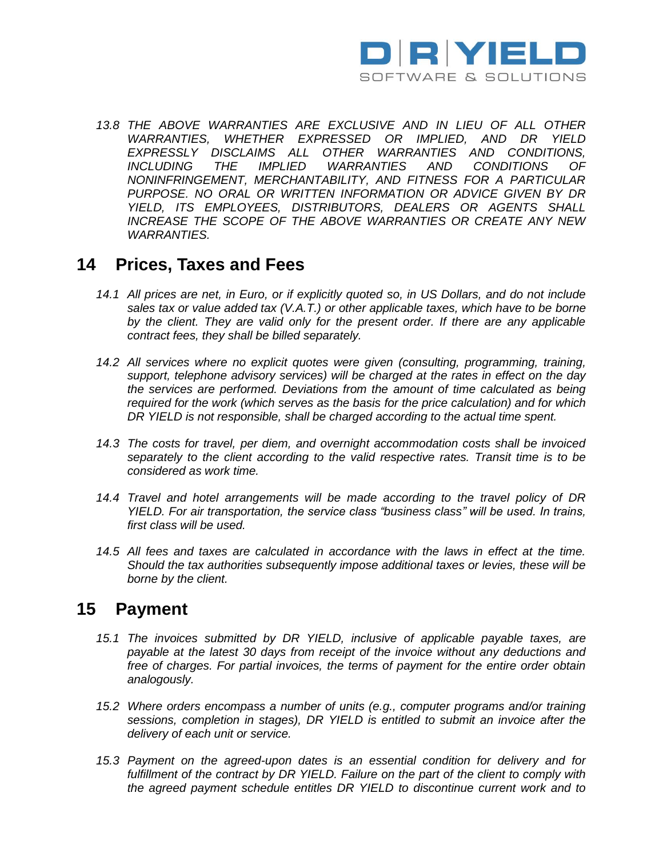

*13.8 THE ABOVE WARRANTIES ARE EXCLUSIVE AND IN LIEU OF ALL OTHER WARRANTIES, WHETHER EXPRESSED OR IMPLIED, AND DR YIELD EXPRESSLY DISCLAIMS ALL OTHER WARRANTIES AND CONDITIONS, INCLUDING THE IMPLIED WARRANTIES AND CONDITIONS OF NONINFRINGEMENT, MERCHANTABILITY, AND FITNESS FOR A PARTICULAR*  PURPOSE. NO ORAL OR WRITTEN INFORMATION OR ADVICE GIVEN BY DR *YIELD, ITS EMPLOYEES, DISTRIBUTORS, DEALERS OR AGENTS SHALL INCREASE THE SCOPE OF THE ABOVE WARRANTIES OR CREATE ANY NEW WARRANTIES.* 

### **14 Prices, Taxes and Fees**

- *14.1 All prices are net, in Euro, or if explicitly quoted so, in US Dollars, and do not include sales tax or value added tax (V.A.T.) or other applicable taxes, which have to be borne* by the client. They are valid only for the present order. If there are any applicable *contract fees, they shall be billed separately.*
- *14.2 All services where no explicit quotes were given (consulting, programming, training, support, telephone advisory services) will be charged at the rates in effect on the day the services are performed. Deviations from the amount of time calculated as being required for the work (which serves as the basis for the price calculation) and for which DR YIELD is not responsible, shall be charged according to the actual time spent.*
- *14.3 The costs for travel, per diem, and overnight accommodation costs shall be invoiced separately to the client according to the valid respective rates. Transit time is to be considered as work time.*
- *14.4 Travel and hotel arrangements will be made according to the travel policy of DR YIELD. For air transportation, the service class "business class" will be used. In trains, first class will be used.*
- *14.5 All fees and taxes are calculated in accordance with the laws in effect at the time. Should the tax authorities subsequently impose additional taxes or levies, these will be borne by the client.*

### **15 Payment**

- *15.1 The invoices submitted by DR YIELD, inclusive of applicable payable taxes, are payable at the latest 30 days from receipt of the invoice without any deductions and free of charges. For partial invoices, the terms of payment for the entire order obtain analogously.*
- *15.2 Where orders encompass a number of units (e.g., computer programs and/or training sessions, completion in stages), DR YIELD is entitled to submit an invoice after the delivery of each unit or service.*
- *15.3 Payment on the agreed-upon dates is an essential condition for delivery and for fulfillment of the contract by DR YIELD. Failure on the part of the client to comply with the agreed payment schedule entitles DR YIELD to discontinue current work and to*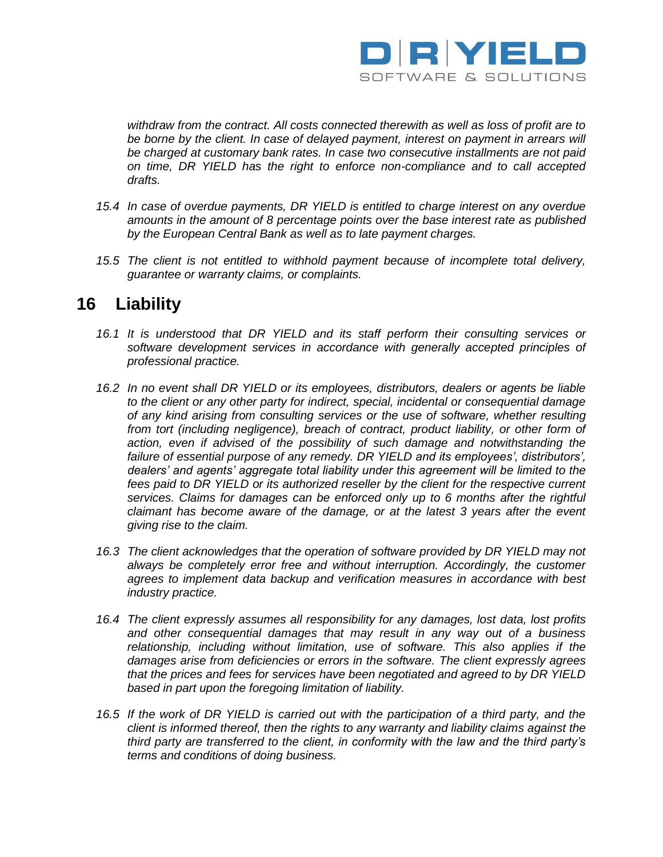

*withdraw from the contract. All costs connected therewith as well as loss of profit are to*  be borne by the client. In case of delayed payment, interest on payment in arrears will *be charged at customary bank rates. In case two consecutive installments are not paid on time, DR YIELD has the right to enforce non-compliance and to call accepted drafts.*

- *15.4 In case of overdue payments, DR YIELD is entitled to charge interest on any overdue amounts in the amount of 8 percentage points over the base interest rate as published by the European Central Bank as well as to late payment charges.*
- *15.5 The client is not entitled to withhold payment because of incomplete total delivery, guarantee or warranty claims, or complaints.*

### **16 Liability**

- *16.1 It is understood that DR YIELD and its staff perform their consulting services or software development services in accordance with generally accepted principles of professional practice.*
- *16.2 In no event shall DR YIELD or its employees, distributors, dealers or agents be liable to the client or any other party for indirect, special, incidental or consequential damage of any kind arising from consulting services or the use of software, whether resulting from tort (including negligence), breach of contract, product liability, or other form of*  action, even if advised of the possibility of such damage and notwithstanding the *failure of essential purpose of any remedy. DR YIELD and its employees', distributors', dealers' and agents' aggregate total liability under this agreement will be limited to the*  fees paid to DR YIELD or its authorized reseller by the client for the respective current *services. Claims for damages can be enforced only up to 6 months after the rightful claimant has become aware of the damage, or at the latest 3 years after the event giving rise to the claim.*
- *16.3 The client acknowledges that the operation of software provided by DR YIELD may not* always be completely error free and without interruption. Accordingly, the customer *agrees to implement data backup and verification measures in accordance with best industry practice.*
- *16.4 The client expressly assumes all responsibility for any damages, lost data, lost profits and other consequential damages that may result in any way out of a business relationship, including without limitation, use of software. This also applies if the damages arise from deficiencies or errors in the software. The client expressly agrees that the prices and fees for services have been negotiated and agreed to by DR YIELD based in part upon the foregoing limitation of liability.*
- *16.5 If the work of DR YIELD is carried out with the participation of a third party, and the client is informed thereof, then the rights to any warranty and liability claims against the third party are transferred to the client, in conformity with the law and the third party's terms and conditions of doing business.*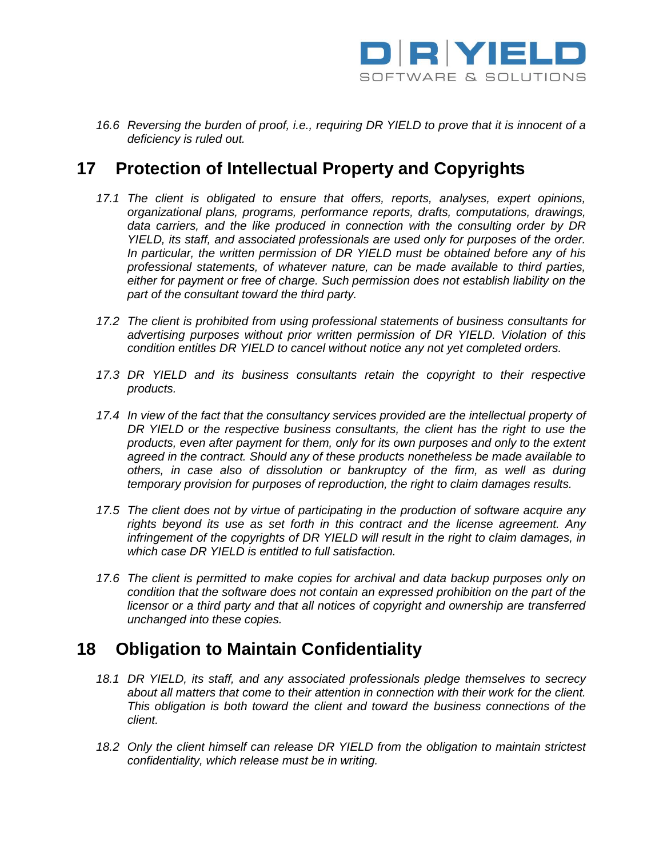

*16.6 Reversing the burden of proof, i.e., requiring DR YIELD to prove that it is innocent of a deficiency is ruled out.*

## **17 Protection of Intellectual Property and Copyrights**

- *17.1 The client is obligated to ensure that offers, reports, analyses, expert opinions, organizational plans, programs, performance reports, drafts, computations, drawings, data carriers, and the like produced in connection with the consulting order by DR YIELD, its staff, and associated professionals are used only for purposes of the order. In particular, the written permission of DR YIELD must be obtained before any of his professional statements, of whatever nature, can be made available to third parties, either for payment or free of charge. Such permission does not establish liability on the part of the consultant toward the third party.*
- *17.2 The client is prohibited from using professional statements of business consultants for advertising purposes without prior written permission of DR YIELD. Violation of this condition entitles DR YIELD to cancel without notice any not yet completed orders.*
- *17.3 DR YIELD and its business consultants retain the copyright to their respective products.*
- *17.4 In view of the fact that the consultancy services provided are the intellectual property of DR YIELD or the respective business consultants, the client has the right to use the products, even after payment for them, only for its own purposes and only to the extent agreed in the contract. Should any of these products nonetheless be made available to others, in case also of dissolution or bankruptcy of the firm, as well as during temporary provision for purposes of reproduction, the right to claim damages results.*
- *17.5 The client does not by virtue of participating in the production of software acquire any rights beyond its use as set forth in this contract and the license agreement. Any infringement of the copyrights of DR YIELD will result in the right to claim damages, in which case DR YIELD is entitled to full satisfaction.*
- *17.6 The client is permitted to make copies for archival and data backup purposes only on condition that the software does not contain an expressed prohibition on the part of the licensor or a third party and that all notices of copyright and ownership are transferred unchanged into these copies.*

# **18 Obligation to Maintain Confidentiality**

- *18.1 DR YIELD, its staff, and any associated professionals pledge themselves to secrecy about all matters that come to their attention in connection with their work for the client. This obligation is both toward the client and toward the business connections of the client.*
- *18.2 Only the client himself can release DR YIELD from the obligation to maintain strictest confidentiality, which release must be in writing.*